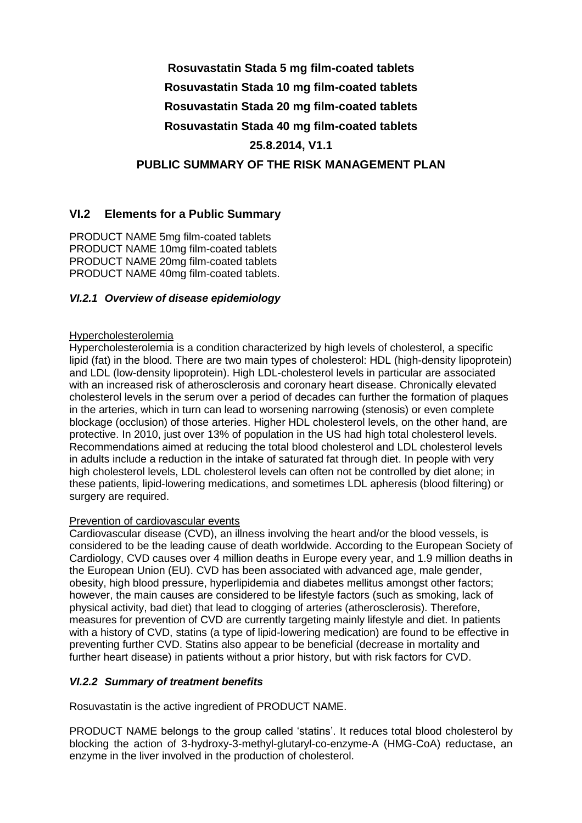# **Rosuvastatin Stada 5 mg film-coated tablets Rosuvastatin Stada 10 mg film-coated tablets Rosuvastatin Stada 20 mg film-coated tablets Rosuvastatin Stada 40 mg film-coated tablets 25.8.2014, V1.1 PUBLIC SUMMARY OF THE RISK MANAGEMENT PLAN**

### **VI.2 Elements for a Public Summary**

PRODUCT NAME 5mg film-coated tablets PRODUCT NAME 10mg film-coated tablets PRODUCT NAME 20mg film-coated tablets PRODUCT NAME 40mg film-coated tablets.

#### *VI.2.1 Overview of disease epidemiology*

#### **Hypercholesterolemia**

Hypercholesterolemia is a condition characterized by high levels of cholesterol, a specific lipid (fat) in the blood. There are two main types of cholesterol: HDL (high-density lipoprotein) and LDL (low-density lipoprotein). High LDL-cholesterol levels in particular are associated with an increased risk of atherosclerosis and coronary heart disease. Chronically elevated cholesterol levels in the serum over a period of decades can further the formation of plaques in the arteries, which in turn can lead to worsening narrowing (stenosis) or even complete blockage (occlusion) of those arteries. Higher HDL cholesterol levels, on the other hand, are protective. In 2010, just over 13% of population in the US had high total cholesterol levels. Recommendations aimed at reducing the total blood cholesterol and LDL cholesterol levels in adults include a reduction in the intake of saturated fat through diet. In people with very high cholesterol levels, LDL cholesterol levels can often not be controlled by diet alone; in these patients, lipid-lowering medications, and sometimes LDL apheresis (blood filtering) or surgery are required.

#### Prevention of cardiovascular events

Cardiovascular disease (CVD), an illness involving the heart and/or the blood vessels, is considered to be the leading cause of death worldwide. According to the European Society of Cardiology, CVD causes over 4 million deaths in Europe every year, and 1.9 million deaths in the European Union (EU). CVD has been associated with advanced age, male gender, obesity, high blood pressure, hyperlipidemia and diabetes mellitus amongst other factors; however, the main causes are considered to be lifestyle factors (such as smoking, lack of physical activity, bad diet) that lead to clogging of arteries (atherosclerosis). Therefore, measures for prevention of CVD are currently targeting mainly lifestyle and diet. In patients with a history of CVD, statins (a type of lipid-lowering medication) are found to be effective in preventing further CVD. Statins also appear to be beneficial (decrease in mortality and further heart disease) in patients without a prior history, but with risk factors for CVD.

#### *VI.2.2 Summary of treatment benefits*

Rosuvastatin is the active ingredient of PRODUCT NAME.

PRODUCT NAME belongs to the group called 'statins'. It reduces total blood cholesterol by blocking the action of 3-hydroxy-3-methyl-glutaryl-co-enzyme-A (HMG-CoA) reductase, an enzyme in the liver involved in the production of cholesterol.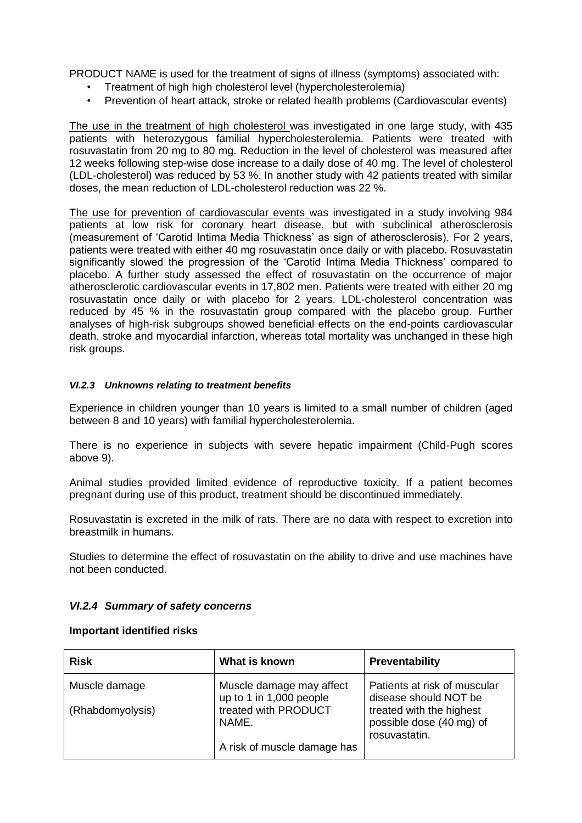PRODUCT NAME is used for the treatment of signs of illness (symptoms) associated with:

- Treatment of high high cholesterol level (hypercholesterolemia)
- Prevention of heart attack, stroke or related health problems (Cardiovascular events)

The use in the treatment of high cholesterol was investigated in one large study, with 435 patients with heterozygous familial hypercholesterolemia. Patients were treated with rosuvastatin from 20 mg to 80 mg. Reduction in the level of cholesterol was measured after 12 weeks following step-wise dose increase to a daily dose of 40 mg. The level of cholesterol (LDL-cholesterol) was reduced by 53 %. In another study with 42 patients treated with similar doses, the mean reduction of LDL-cholesterol reduction was 22 %.

The use for prevention of cardiovascular events was investigated in a study involving 984 patients at low risk for coronary heart disease, but with subclinical atherosclerosis (measurement of 'Carotid Intima Media Thickness' as sign of atherosclerosis). For 2 years, patients were treated with either 40 mg rosuvastatin once daily or with placebo. Rosuvastatin significantly slowed the progression of the 'Carotid Intima Media Thickness' compared to placebo. A further study assessed the effect of rosuvastatin on the occurrence of major atherosclerotic cardiovascular events in 17,802 men. Patients were treated with either 20 mg rosuvastatin once daily or with placebo for 2 years. LDL-cholesterol concentration was reduced by 45 % in the rosuvastatin group compared with the placebo group. Further analyses of high-risk subgroups showed beneficial effects on the end-points cardiovascular death, stroke and myocardial infarction, whereas total mortality was unchanged in these high risk groups.

#### *VI.2.3 Unknowns relating to treatment benefits*

Experience in children younger than 10 years is limited to a small number of children (aged between 8 and 10 years) with familial hypercholesterolemia.

There is no experience in subjects with severe hepatic impairment (Child-Pugh scores above 9).

Animal studies provided limited evidence of reproductive toxicity. If a patient becomes pregnant during use of this product, treatment should be discontinued immediately.

Rosuvastatin is excreted in the milk of rats. There are no data with respect to excretion into breastmilk in humans.

Studies to determine the effect of rosuvastatin on the ability to drive and use machines have not been conducted.

#### *VI.2.4 Summary of safety concerns*

#### **Important identified risks**

| <b>Risk</b>      | What is known                                       | <b>Preventability</b>                                                 |
|------------------|-----------------------------------------------------|-----------------------------------------------------------------------|
| Muscle damage    | Muscle damage may affect<br>up to 1 in 1,000 people | Patients at risk of muscular<br>disease should NOT be                 |
| (Rhabdomyolysis) | treated with PRODUCT<br>NAME.                       | treated with the highest<br>possible dose (40 mg) of<br>rosuvastatin. |
|                  | A risk of muscle damage has                         |                                                                       |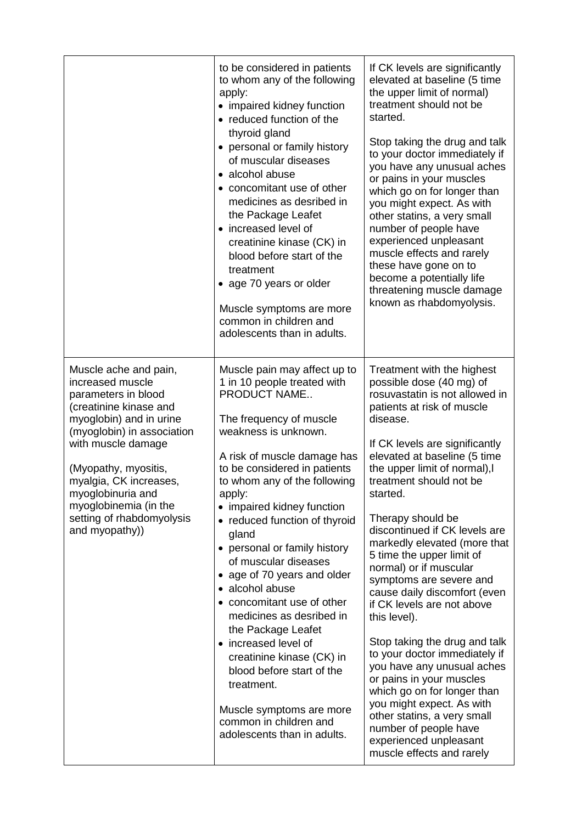|                                                                                                                                                                                                                                                                                                                          | to be considered in patients<br>to whom any of the following<br>apply:<br>• impaired kidney function<br>• reduced function of the<br>thyroid gland<br>• personal or family history<br>of muscular diseases<br>• alcohol abuse<br>• concomitant use of other<br>medicines as desribed in<br>the Package Leafet<br>• increased level of<br>creatinine kinase (CK) in<br>blood before start of the<br>treatment<br>• age 70 years or older<br>Muscle symptoms are more<br>common in children and<br>adolescents than in adults.                                                                                                                                                                   | If CK levels are significantly<br>elevated at baseline (5 time<br>the upper limit of normal)<br>treatment should not be<br>started.<br>Stop taking the drug and talk<br>to your doctor immediately if<br>you have any unusual aches<br>or pains in your muscles<br>which go on for longer than<br>you might expect. As with<br>other statins, a very small<br>number of people have<br>experienced unpleasant<br>muscle effects and rarely<br>these have gone on to<br>become a potentially life<br>threatening muscle damage<br>known as rhabdomyolysis.                                                                                                                                                                                                                                                                                 |
|--------------------------------------------------------------------------------------------------------------------------------------------------------------------------------------------------------------------------------------------------------------------------------------------------------------------------|------------------------------------------------------------------------------------------------------------------------------------------------------------------------------------------------------------------------------------------------------------------------------------------------------------------------------------------------------------------------------------------------------------------------------------------------------------------------------------------------------------------------------------------------------------------------------------------------------------------------------------------------------------------------------------------------|-------------------------------------------------------------------------------------------------------------------------------------------------------------------------------------------------------------------------------------------------------------------------------------------------------------------------------------------------------------------------------------------------------------------------------------------------------------------------------------------------------------------------------------------------------------------------------------------------------------------------------------------------------------------------------------------------------------------------------------------------------------------------------------------------------------------------------------------|
| Muscle ache and pain,<br>increased muscle<br>parameters in blood<br>(creatinine kinase and<br>myoglobin) and in urine<br>(myoglobin) in association<br>with muscle damage<br>(Myopathy, myositis,<br>myalgia, CK increases,<br>myoglobinuria and<br>myoglobinemia (in the<br>setting of rhabdomyolysis<br>and myopathy)) | Muscle pain may affect up to<br>1 in 10 people treated with<br>PRODUCT NAME<br>The frequency of muscle<br>weakness is unknown.<br>A risk of muscle damage has<br>to be considered in patients<br>to whom any of the following<br>apply:<br>• impaired kidney function<br>• reduced function of thyroid<br>gland<br>• personal or family history<br>of muscular diseases<br>• age of 70 years and older<br>• alcohol abuse<br>• concomitant use of other<br>medicines as desribed in<br>the Package Leafet<br>• increased level of<br>creatinine kinase (CK) in<br>blood before start of the<br>treatment.<br>Muscle symptoms are more<br>common in children and<br>adolescents than in adults. | Treatment with the highest<br>possible dose (40 mg) of<br>rosuvastatin is not allowed in<br>patients at risk of muscle<br>disease.<br>If CK levels are significantly<br>elevated at baseline (5 time<br>the upper limit of normal), I<br>treatment should not be<br>started.<br>Therapy should be<br>discontinued if CK levels are<br>markedly elevated (more that<br>5 time the upper limit of<br>normal) or if muscular<br>symptoms are severe and<br>cause daily discomfort (even<br>if CK levels are not above<br>this level).<br>Stop taking the drug and talk<br>to your doctor immediately if<br>you have any unusual aches<br>or pains in your muscles<br>which go on for longer than<br>you might expect. As with<br>other statins, a very small<br>number of people have<br>experienced unpleasant<br>muscle effects and rarely |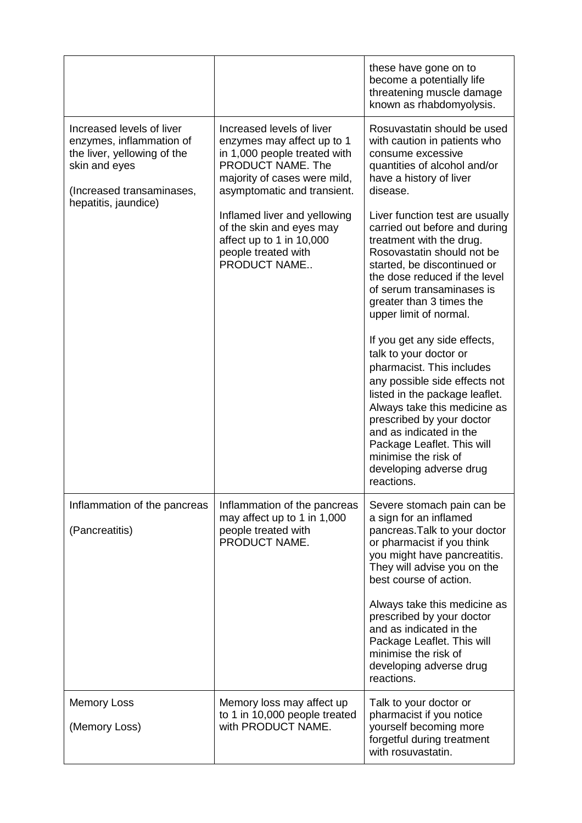|                                                                                                                                    |                                                                                                                                                                             | these have gone on to<br>become a potentially life<br>threatening muscle damage<br>known as rhabdomyolysis.                                                                                                                                                                                                                                                                                                                                                                                                                                                                                                                    |
|------------------------------------------------------------------------------------------------------------------------------------|-----------------------------------------------------------------------------------------------------------------------------------------------------------------------------|--------------------------------------------------------------------------------------------------------------------------------------------------------------------------------------------------------------------------------------------------------------------------------------------------------------------------------------------------------------------------------------------------------------------------------------------------------------------------------------------------------------------------------------------------------------------------------------------------------------------------------|
| Increased levels of liver<br>enzymes, inflammation of<br>the liver, yellowing of the<br>skin and eyes<br>(Increased transaminases, | Increased levels of liver<br>enzymes may affect up to 1<br>in 1,000 people treated with<br>PRODUCT NAME. The<br>majority of cases were mild,<br>asymptomatic and transient. | Rosuvastatin should be used<br>with caution in patients who<br>consume excessive<br>quantities of alcohol and/or<br>have a history of liver<br>disease.                                                                                                                                                                                                                                                                                                                                                                                                                                                                        |
| hepatitis, jaundice)                                                                                                               | Inflamed liver and yellowing<br>of the skin and eyes may<br>affect up to 1 in 10,000<br>people treated with<br>PRODUCT NAME                                                 | Liver function test are usually<br>carried out before and during<br>treatment with the drug.<br>Rosovastatin should not be<br>started, be discontinued or<br>the dose reduced if the level<br>of serum transaminases is<br>greater than 3 times the<br>upper limit of normal.<br>If you get any side effects,<br>talk to your doctor or<br>pharmacist. This includes<br>any possible side effects not<br>listed in the package leaflet.<br>Always take this medicine as<br>prescribed by your doctor<br>and as indicated in the<br>Package Leaflet. This will<br>minimise the risk of<br>developing adverse drug<br>reactions. |
| Inflammation of the pancreas<br>(Pancreatitis)                                                                                     | Inflammation of the pancreas<br>may affect up to 1 in 1,000<br>people treated with<br>PRODUCT NAME.                                                                         | Severe stomach pain can be<br>a sign for an inflamed<br>pancreas. Talk to your doctor<br>or pharmacist if you think<br>you might have pancreatitis.<br>They will advise you on the<br>best course of action.<br>Always take this medicine as<br>prescribed by your doctor<br>and as indicated in the<br>Package Leaflet. This will<br>minimise the risk of<br>developing adverse drug<br>reactions.                                                                                                                                                                                                                            |
| <b>Memory Loss</b><br>(Memory Loss)                                                                                                | Memory loss may affect up<br>to 1 in 10,000 people treated<br>with PRODUCT NAME.                                                                                            | Talk to your doctor or<br>pharmacist if you notice<br>yourself becoming more<br>forgetful during treatment<br>with rosuvastatin.                                                                                                                                                                                                                                                                                                                                                                                                                                                                                               |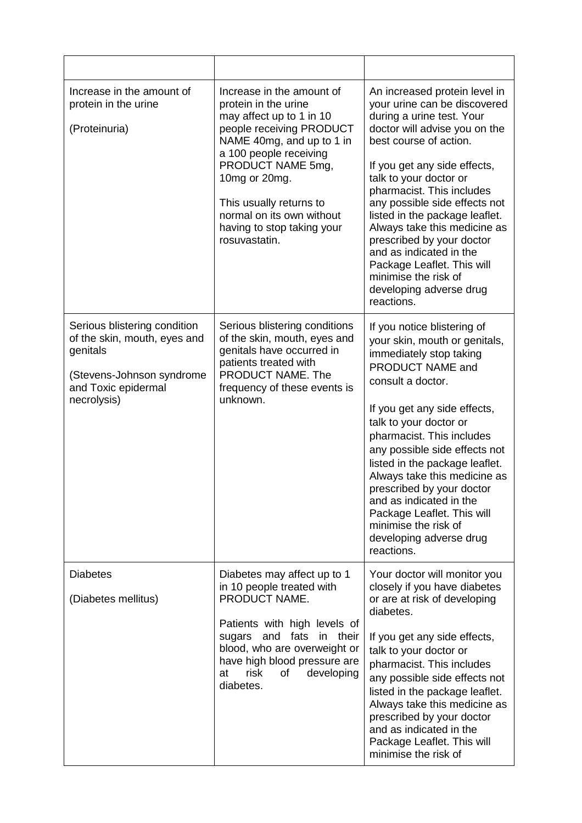| Increase in the amount of<br>protein in the urine<br>(Proteinuria)                                                                          | Increase in the amount of<br>protein in the urine<br>may affect up to 1 in 10<br>people receiving PRODUCT<br>NAME 40mg, and up to 1 in<br>a 100 people receiving<br>PRODUCT NAME 5mg,<br>10mg or 20mg.<br>This usually returns to<br>normal on its own without<br>having to stop taking your<br>rosuvastatin. | An increased protein level in<br>your urine can be discovered<br>during a urine test. Your<br>doctor will advise you on the<br>best course of action.<br>If you get any side effects,<br>talk to your doctor or<br>pharmacist. This includes<br>any possible side effects not<br>listed in the package leaflet.<br>Always take this medicine as<br>prescribed by your doctor<br>and as indicated in the<br>Package Leaflet. This will<br>minimise the risk of<br>developing adverse drug<br>reactions. |
|---------------------------------------------------------------------------------------------------------------------------------------------|---------------------------------------------------------------------------------------------------------------------------------------------------------------------------------------------------------------------------------------------------------------------------------------------------------------|--------------------------------------------------------------------------------------------------------------------------------------------------------------------------------------------------------------------------------------------------------------------------------------------------------------------------------------------------------------------------------------------------------------------------------------------------------------------------------------------------------|
| Serious blistering condition<br>of the skin, mouth, eyes and<br>genitals<br>(Stevens-Johnson syndrome<br>and Toxic epidermal<br>necrolysis) | Serious blistering conditions<br>of the skin, mouth, eyes and<br>genitals have occurred in<br>patients treated with<br>PRODUCT NAME. The<br>frequency of these events is<br>unknown.                                                                                                                          | If you notice blistering of<br>your skin, mouth or genitals,<br>immediately stop taking<br>PRODUCT NAME and<br>consult a doctor.<br>If you get any side effects,<br>talk to your doctor or<br>pharmacist. This includes<br>any possible side effects not<br>listed in the package leaflet.<br>Always take this medicine as<br>prescribed by your doctor<br>and as indicated in the<br>Package Leaflet. This will<br>minimise the risk of<br>developing adverse drug<br>reactions.                      |
| <b>Diabetes</b><br>(Diabetes mellitus)                                                                                                      | Diabetes may affect up to 1<br>in 10 people treated with<br>PRODUCT NAME.<br>Patients with high levels of<br>fats<br>in their<br>sugars<br>and<br>blood, who are overweight or<br>have high blood pressure are<br>risk<br>developing<br>at<br>0f<br>diabetes.                                                 | Your doctor will monitor you<br>closely if you have diabetes<br>or are at risk of developing<br>diabetes.<br>If you get any side effects,<br>talk to your doctor or<br>pharmacist. This includes<br>any possible side effects not<br>listed in the package leaflet.<br>Always take this medicine as<br>prescribed by your doctor<br>and as indicated in the<br>Package Leaflet. This will<br>minimise the risk of                                                                                      |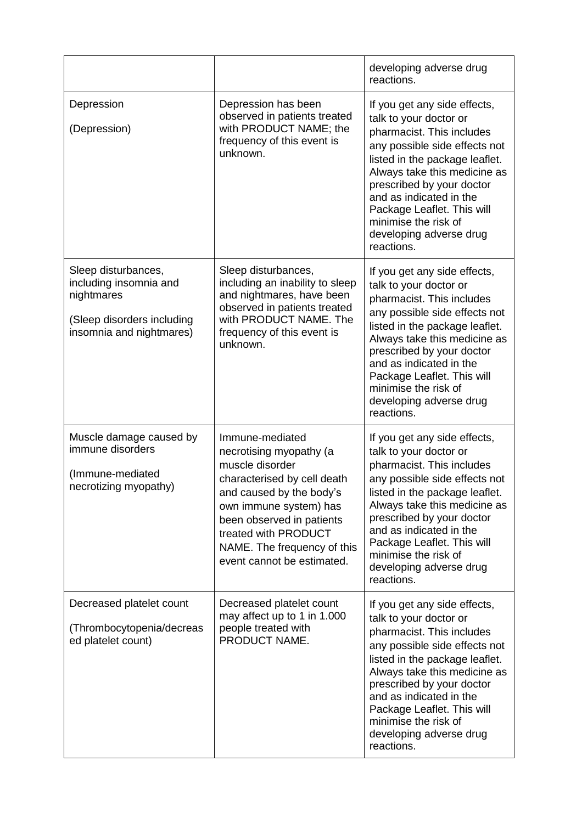|                                                                                                                       |                                                                                                                                                                                                                                                                      | developing adverse drug<br>reactions.                                                                                                                                                                                                                                                                                                         |
|-----------------------------------------------------------------------------------------------------------------------|----------------------------------------------------------------------------------------------------------------------------------------------------------------------------------------------------------------------------------------------------------------------|-----------------------------------------------------------------------------------------------------------------------------------------------------------------------------------------------------------------------------------------------------------------------------------------------------------------------------------------------|
| Depression<br>(Depression)                                                                                            | Depression has been<br>observed in patients treated<br>with PRODUCT NAME; the<br>frequency of this event is<br>unknown.                                                                                                                                              | If you get any side effects,<br>talk to your doctor or<br>pharmacist. This includes<br>any possible side effects not<br>listed in the package leaflet.<br>Always take this medicine as<br>prescribed by your doctor<br>and as indicated in the<br>Package Leaflet. This will<br>minimise the risk of<br>developing adverse drug<br>reactions. |
| Sleep disturbances,<br>including insomnia and<br>nightmares<br>(Sleep disorders including<br>insomnia and nightmares) | Sleep disturbances,<br>including an inability to sleep<br>and nightmares, have been<br>observed in patients treated<br>with PRODUCT NAME. The<br>frequency of this event is<br>unknown.                                                                              | If you get any side effects,<br>talk to your doctor or<br>pharmacist. This includes<br>any possible side effects not<br>listed in the package leaflet.<br>Always take this medicine as<br>prescribed by your doctor<br>and as indicated in the<br>Package Leaflet. This will<br>minimise the risk of<br>developing adverse drug<br>reactions. |
| Muscle damage caused by<br>immune disorders<br>(Immune-mediated<br>necrotizing myopathy)                              | Immune-mediated<br>necrotising myopathy (a<br>muscle disorder<br>characterised by cell death<br>and caused by the body's<br>own immune system) has<br>been observed in patients<br>treated with PRODUCT<br>NAME. The frequency of this<br>event cannot be estimated. | If you get any side effects,<br>talk to your doctor or<br>pharmacist. This includes<br>any possible side effects not<br>listed in the package leaflet.<br>Always take this medicine as<br>prescribed by your doctor<br>and as indicated in the<br>Package Leaflet. This will<br>minimise the risk of<br>developing adverse drug<br>reactions. |
| Decreased platelet count<br>(Thrombocytopenia/decreas<br>ed platelet count)                                           | Decreased platelet count<br>may affect up to 1 in 1.000<br>people treated with<br>PRODUCT NAME.                                                                                                                                                                      | If you get any side effects,<br>talk to your doctor or<br>pharmacist. This includes<br>any possible side effects not<br>listed in the package leaflet.<br>Always take this medicine as<br>prescribed by your doctor<br>and as indicated in the<br>Package Leaflet. This will<br>minimise the risk of<br>developing adverse drug<br>reactions. |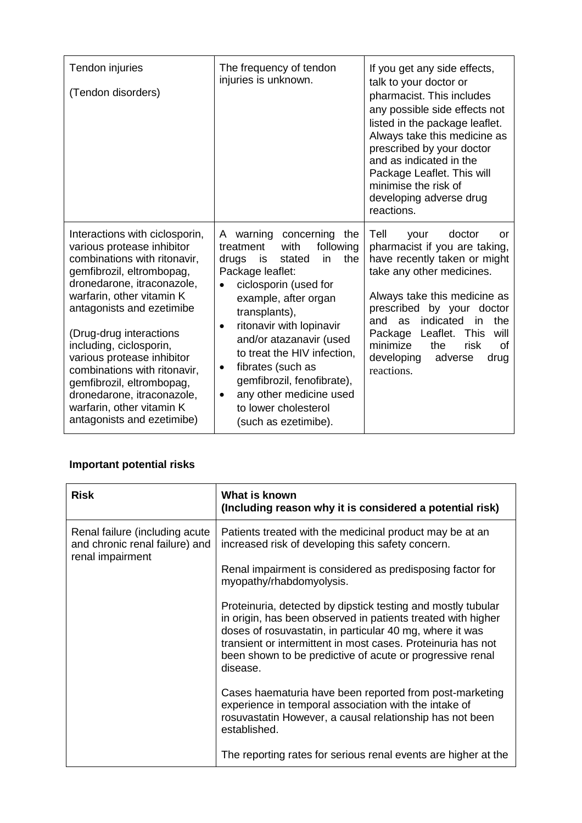| Tendon injuries<br>(Tendon disorders)                                                                                                                                                                                                                                                                                                                                                                                                                       | The frequency of tendon<br>injuries is unknown.                                                                                                                                                                                                                                                                                                                                                                                                            | If you get any side effects,<br>talk to your doctor or<br>pharmacist. This includes<br>any possible side effects not<br>listed in the package leaflet.<br>Always take this medicine as<br>prescribed by your doctor<br>and as indicated in the<br>Package Leaflet. This will<br>minimise the risk of<br>developing adverse drug<br>reactions.      |
|-------------------------------------------------------------------------------------------------------------------------------------------------------------------------------------------------------------------------------------------------------------------------------------------------------------------------------------------------------------------------------------------------------------------------------------------------------------|------------------------------------------------------------------------------------------------------------------------------------------------------------------------------------------------------------------------------------------------------------------------------------------------------------------------------------------------------------------------------------------------------------------------------------------------------------|----------------------------------------------------------------------------------------------------------------------------------------------------------------------------------------------------------------------------------------------------------------------------------------------------------------------------------------------------|
| Interactions with ciclosporin,<br>various protease inhibitor<br>combinations with ritonavir,<br>gemfibrozil, eltrombopag,<br>dronedarone, itraconazole,<br>warfarin, other vitamin K<br>antagonists and ezetimibe<br>(Drug-drug interactions<br>including, ciclosporin,<br>various protease inhibitor<br>combinations with ritonavir,<br>gemfibrozil, eltrombopag,<br>dronedarone, itraconazole,<br>warfarin, other vitamin K<br>antagonists and ezetimibe) | warning<br>concerning<br>the<br>A<br>treatment<br>with<br>following<br>in<br>the<br>drugs<br>is<br>stated<br>Package leaflet:<br>ciclosporin (used for<br>example, after organ<br>transplants),<br>ritonavir with lopinavir<br>$\bullet$<br>and/or atazanavir (used<br>to treat the HIV infection,<br>fibrates (such as<br>$\bullet$<br>gemfibrozil, fenofibrate),<br>any other medicine used<br>$\bullet$<br>to lower cholesterol<br>(such as ezetimibe). | Tell<br>doctor<br>your<br>or<br>pharmacist if you are taking,<br>have recently taken or might<br>take any other medicines.<br>Always take this medicine as<br>prescribed<br>by your doctor<br>indicated<br>the<br>and<br>as<br>in<br>Package Leaflet. This<br>will<br>minimize<br>the<br>risk<br>Ωf<br>developing<br>adverse<br>drug<br>reactions. |

## **Important potential risks**

| <b>Risk</b>                                                                          | What is known<br>(Including reason why it is considered a potential risk)                                                                                                                                                                                                                                                         |
|--------------------------------------------------------------------------------------|-----------------------------------------------------------------------------------------------------------------------------------------------------------------------------------------------------------------------------------------------------------------------------------------------------------------------------------|
| Renal failure (including acute<br>and chronic renal failure) and<br>renal impairment | Patients treated with the medicinal product may be at an<br>increased risk of developing this safety concern.                                                                                                                                                                                                                     |
|                                                                                      | Renal impairment is considered as predisposing factor for<br>myopathy/rhabdomyolysis.                                                                                                                                                                                                                                             |
|                                                                                      | Proteinuria, detected by dipstick testing and mostly tubular<br>in origin, has been observed in patients treated with higher<br>doses of rosuvastatin, in particular 40 mg, where it was<br>transient or intermittent in most cases. Proteinuria has not<br>been shown to be predictive of acute or progressive renal<br>disease. |
|                                                                                      | Cases haematuria have been reported from post-marketing<br>experience in temporal association with the intake of<br>rosuvastatin However, a causal relationship has not been<br>established.                                                                                                                                      |
|                                                                                      | The reporting rates for serious renal events are higher at the                                                                                                                                                                                                                                                                    |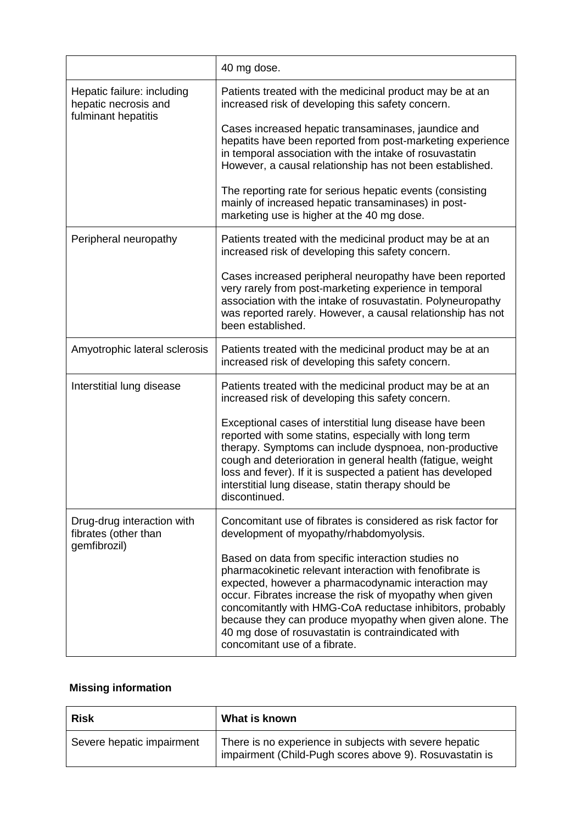|                                                                           | 40 mg dose.                                                                                                                                                                                                                                                                                                                                                                                                                                      |
|---------------------------------------------------------------------------|--------------------------------------------------------------------------------------------------------------------------------------------------------------------------------------------------------------------------------------------------------------------------------------------------------------------------------------------------------------------------------------------------------------------------------------------------|
| Hepatic failure: including<br>hepatic necrosis and<br>fulminant hepatitis | Patients treated with the medicinal product may be at an<br>increased risk of developing this safety concern.                                                                                                                                                                                                                                                                                                                                    |
|                                                                           | Cases increased hepatic transaminases, jaundice and<br>hepatits have been reported from post-marketing experience<br>in temporal association with the intake of rosuvastatin<br>However, a causal relationship has not been established.                                                                                                                                                                                                         |
|                                                                           | The reporting rate for serious hepatic events (consisting<br>mainly of increased hepatic transaminases) in post-<br>marketing use is higher at the 40 mg dose.                                                                                                                                                                                                                                                                                   |
| Peripheral neuropathy                                                     | Patients treated with the medicinal product may be at an<br>increased risk of developing this safety concern.                                                                                                                                                                                                                                                                                                                                    |
|                                                                           | Cases increased peripheral neuropathy have been reported<br>very rarely from post-marketing experience in temporal<br>association with the intake of rosuvastatin. Polyneuropathy<br>was reported rarely. However, a causal relationship has not<br>been established.                                                                                                                                                                            |
| Amyotrophic lateral sclerosis                                             | Patients treated with the medicinal product may be at an<br>increased risk of developing this safety concern.                                                                                                                                                                                                                                                                                                                                    |
| Interstitial lung disease                                                 | Patients treated with the medicinal product may be at an<br>increased risk of developing this safety concern.                                                                                                                                                                                                                                                                                                                                    |
|                                                                           | Exceptional cases of interstitial lung disease have been<br>reported with some statins, especially with long term<br>therapy. Symptoms can include dyspnoea, non-productive<br>cough and deterioration in general health (fatigue, weight<br>loss and fever). If it is suspected a patient has developed<br>interstitial lung disease, statin therapy should be<br>discontinued.                                                                 |
| Drug-drug interaction with<br>fibrates (other than                        | Concomitant use of fibrates is considered as risk factor for<br>development of myopathy/rhabdomyolysis.                                                                                                                                                                                                                                                                                                                                          |
| gemfibrozil)                                                              | Based on data from specific interaction studies no<br>pharmacokinetic relevant interaction with fenofibrate is<br>expected, however a pharmacodynamic interaction may<br>occur. Fibrates increase the risk of myopathy when given<br>concomitantly with HMG-CoA reductase inhibitors, probably<br>because they can produce myopathy when given alone. The<br>40 mg dose of rosuvastatin is contraindicated with<br>concomitant use of a fibrate. |

# **Missing information**

| <b>Risk</b>               | What is known                                                                                                     |
|---------------------------|-------------------------------------------------------------------------------------------------------------------|
| Severe hepatic impairment | There is no experience in subjects with severe hepatic<br>impairment (Child-Pugh scores above 9). Rosuvastatin is |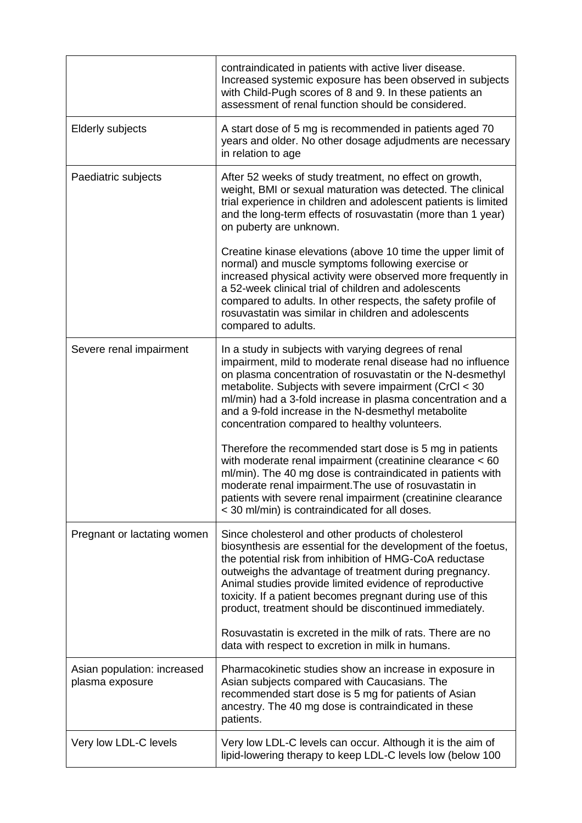|                                                | contraindicated in patients with active liver disease.<br>Increased systemic exposure has been observed in subjects<br>with Child-Pugh scores of 8 and 9. In these patients an<br>assessment of renal function should be considered.                                                                                                                                                                                                                                                                                                                                                                                                                                                                                               |
|------------------------------------------------|------------------------------------------------------------------------------------------------------------------------------------------------------------------------------------------------------------------------------------------------------------------------------------------------------------------------------------------------------------------------------------------------------------------------------------------------------------------------------------------------------------------------------------------------------------------------------------------------------------------------------------------------------------------------------------------------------------------------------------|
| <b>Elderly subjects</b>                        | A start dose of 5 mg is recommended in patients aged 70<br>years and older. No other dosage adjudments are necessary<br>in relation to age                                                                                                                                                                                                                                                                                                                                                                                                                                                                                                                                                                                         |
| Paediatric subjects                            | After 52 weeks of study treatment, no effect on growth,<br>weight, BMI or sexual maturation was detected. The clinical<br>trial experience in children and adolescent patients is limited<br>and the long-term effects of rosuvastatin (more than 1 year)<br>on puberty are unknown.<br>Creatine kinase elevations (above 10 time the upper limit of<br>normal) and muscle symptoms following exercise or<br>increased physical activity were observed more frequently in<br>a 52-week clinical trial of children and adolescents<br>compared to adults. In other respects, the safety profile of<br>rosuvastatin was similar in children and adolescents                                                                          |
|                                                | compared to adults.                                                                                                                                                                                                                                                                                                                                                                                                                                                                                                                                                                                                                                                                                                                |
| Severe renal impairment                        | In a study in subjects with varying degrees of renal<br>impairment, mild to moderate renal disease had no influence<br>on plasma concentration of rosuvastatin or the N-desmethyl<br>metabolite. Subjects with severe impairment (CrCl < 30<br>ml/min) had a 3-fold increase in plasma concentration and a<br>and a 9-fold increase in the N-desmethyl metabolite<br>concentration compared to healthy volunteers.<br>Therefore the recommended start dose is 5 mg in patients<br>with moderate renal impairment (creatinine clearance < 60<br>ml/min). The 40 mg dose is contraindicated in patients with<br>moderate renal impairment. The use of rosuvastatin in<br>patients with severe renal impairment (creatinine clearance |
|                                                | < 30 ml/min) is contraindicated for all doses.                                                                                                                                                                                                                                                                                                                                                                                                                                                                                                                                                                                                                                                                                     |
| Pregnant or lactating women                    | Since cholesterol and other products of cholesterol<br>biosynthesis are essential for the development of the foetus,<br>the potential risk from inhibition of HMG-CoA reductase<br>outweighs the advantage of treatment during pregnancy.<br>Animal studies provide limited evidence of reproductive<br>toxicity. If a patient becomes pregnant during use of this<br>product, treatment should be discontinued immediately.<br>Rosuvastatin is excreted in the milk of rats. There are no                                                                                                                                                                                                                                         |
|                                                | data with respect to excretion in milk in humans.                                                                                                                                                                                                                                                                                                                                                                                                                                                                                                                                                                                                                                                                                  |
| Asian population: increased<br>plasma exposure | Pharmacokinetic studies show an increase in exposure in<br>Asian subjects compared with Caucasians. The<br>recommended start dose is 5 mg for patients of Asian<br>ancestry. The 40 mg dose is contraindicated in these<br>patients.                                                                                                                                                                                                                                                                                                                                                                                                                                                                                               |
| Very low LDL-C levels                          | Very low LDL-C levels can occur. Although it is the aim of<br>lipid-lowering therapy to keep LDL-C levels low (below 100                                                                                                                                                                                                                                                                                                                                                                                                                                                                                                                                                                                                           |